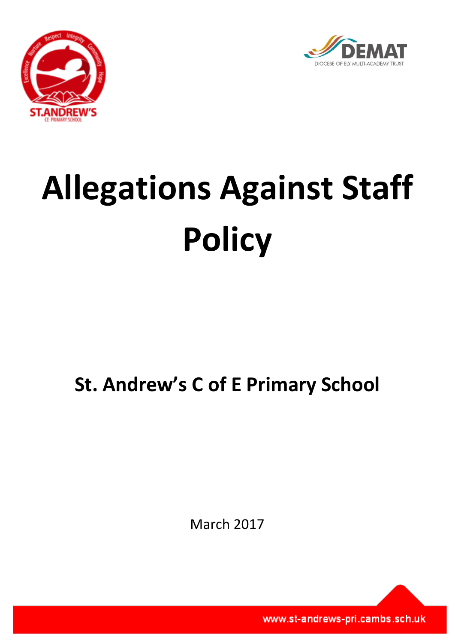



# **Allegations Against Staff Policy**

# **St. Andrew's C of E Primary School**

March 2017

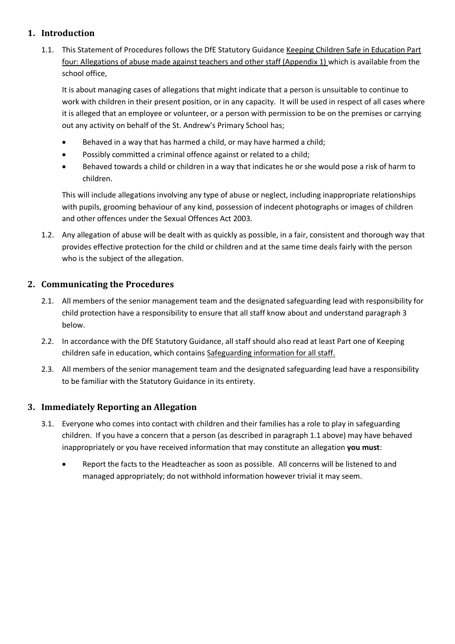#### **1. Introduction**

1.1. This Statement of Procedures follows the DfE Statutory Guidance Keeping Children Safe in Education Part [four: Allegations of abuse made against teachers and other staff \(Appendix 1\) w](https://www.gov.uk/government/uploads/system/uploads/attachment_data/file/550511/Keeping_children_safe_in_education.pdf)hich is available from the school office,

It is about managing cases of allegations that might indicate that a person is unsuitable to continue to work with children in their present position, or in any capacity. It will be used in respect of all cases where it is alleged that an employee or volunteer, or a person with permission to be on the premises or carrying out any activity on behalf of the St. Andrew's Primary School has;

- Behaved in a way that has harmed a child, or may have harmed a child;
- Possibly committed a criminal offence against or related to a child;
- Behaved towards a child or children in a way that indicates he or she would pose a risk of harm to children.

This will include allegations involving any type of abuse or neglect, including inappropriate relationships with pupils, grooming behaviour of any kind, possession of indecent photographs or images of children and other offences under the Sexual Offences Act 2003.

1.2. Any allegation of abuse will be dealt with as quickly as possible, in a fair, consistent and thorough way that provides effective protection for the child or children and at the same time deals fairly with the person who is the subject of the allegation.

### **2. Communicating the Procedures**

- 2.1. All members of the senior management team and the designated safeguarding lead with responsibility for child protection have a responsibility to ensure that all staff know about and understand paragraph 3 below.
- 2.2. In accordance with the DfE Statutory Guidance, all staff should also read at least Part one of Keeping children safe in education, which contains [Safeguarding information for all staff.](https://www.gov.uk/government/uploads/system/uploads/attachment_data/file/550511/Keeping_children_safe_in_education.pdf)
- 2.3. All members of the senior management team and the designated safeguarding lead have a responsibility to be familiar with the Statutory Guidance in its entirety.

### **3. Immediately Reporting an Allegation**

- 3.1. Everyone who comes into contact with children and their families has a role to play in safeguarding children. If you have a concern that a person (as described in paragraph 1.1 above) may have behaved inappropriately or you have received information that may constitute an allegation **you must**:
	- Report the facts to the Headteacher as soon as possible. All concerns will be listened to and managed appropriately; do not withhold information however trivial it may seem.